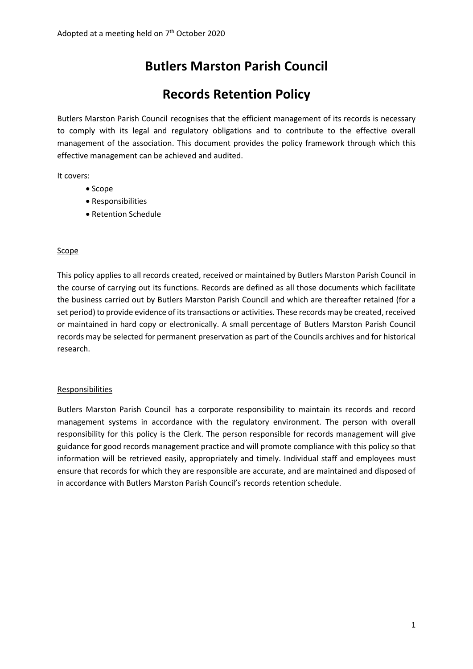# **Butlers Marston Parish Council**

## **Records Retention Policy**

Butlers Marston Parish Council recognises that the efficient management of its records is necessary to comply with its legal and regulatory obligations and to contribute to the effective overall management of the association. This document provides the policy framework through which this effective management can be achieved and audited.

It covers:

- Scope
- Responsibilities
- Retention Schedule

#### Scope

This policy applies to all records created, received or maintained by Butlers Marston Parish Council in the course of carrying out its functions. Records are defined as all those documents which facilitate the business carried out by Butlers Marston Parish Council and which are thereafter retained (for a set period) to provide evidence of its transactions or activities. These records may be created, received or maintained in hard copy or electronically. A small percentage of Butlers Marston Parish Council records may be selected for permanent preservation as part of the Councils archives and for historical research.

#### Responsibilities

Butlers Marston Parish Council has a corporate responsibility to maintain its records and record management systems in accordance with the regulatory environment. The person with overall responsibility for this policy is the Clerk. The person responsible for records management will give guidance for good records management practice and will promote compliance with this policy so that information will be retrieved easily, appropriately and timely. Individual staff and employees must ensure that records for which they are responsible are accurate, and are maintained and disposed of in accordance with Butlers Marston Parish Council's records retention schedule.